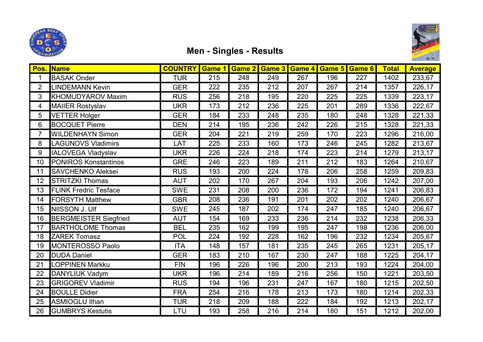



## Men - Singles - Results

| Pos.           | <b>Name</b>                  | <b>COUNTRY</b> | Game 1 | Game 2 | Game 3 | Game 4 | Game 5 | Game 6 | <b>Total</b> | <b>Average</b> |
|----------------|------------------------------|----------------|--------|--------|--------|--------|--------|--------|--------------|----------------|
| 1              | <b>BASAK Onder</b>           | <b>TUR</b>     | 215    | 248    | 249    | 267    | 196    | 227    | 1402         | 233,67         |
| $\overline{2}$ | <b>LINDEMANN Kevin</b>       | <b>GER</b>     | 222    | 235    | 212    | 207    | 267    | 214    | 1357         | 226,17         |
| 3              | <b>KHOMUDYAROV Maxim</b>     | <b>RUS</b>     | 256    | 218    | 195    | 220    | 225    | 225    | 1339         | 223,17         |
| 4              | <b>MAIIER Rostyslav</b>      | <b>UKR</b>     | 173    | 212    | 236    | 225    | 201    | 289    | 1336         | 222,67         |
| 5              | <b>VETTER Holger</b>         | <b>GER</b>     | 184    | 233    | 248    | 235    | 180    | 248    | 1328         | 221,33         |
| 6              | <b>BOCQUET Pierre</b>        | <b>DEN</b>     | 214    | 195    | 236    | 242    | 226    | 215    | 1328         | 221,33         |
| $\overline{7}$ | <b>WILDENHAYN Simon</b>      | <b>GER</b>     | 204    | 221    | 219    | 259    | 170    | 223    | 1296         | 216,00         |
| 8              | <b>LAGUNOVS Vladimirs</b>    | LAT            | 225    | 233    | 160    | 173    | 246    | 245    | 1282         | 213,67         |
| 9              | <b>IALOVEGA Vladyslav</b>    | UKR            | 226    | 224    | 218    | 174    | 223    | 214    | 1279         | 213,17         |
| 10             | <b>PONIROS Konstantinos</b>  | <b>GRE</b>     | 246    | 223    | 189    | 211    | 212    | 183    | 1264         | 210,67         |
| 11             | <b>SAVCHENKO Aleksei</b>     | <b>RUS</b>     | 193    | 200    | 224    | 178    | 206    | 258    | 1259         | 209,83         |
| 12             | <b>STRITZKI Thomas</b>       | <b>AUT</b>     | 202    | 170    | 267    | 204    | 193    | 206    | 1242         | 207,00         |
| 13             | <b>FLINK Fredric Tesface</b> | <b>SWE</b>     | 231    | 208    | 200    | 236    | 172    | 194    | 1241         | 206,83         |
| 14             | <b>FORSYTH Matthew</b>       | <b>GBR</b>     | 208    | 236    | 191    | 201    | 202    | 202    | 1240         | 206,67         |
| 15             | NIISSON J. Ulf               | <b>SWE</b>     | 245    | 187    | 202    | 174    | 247    | 185    | 1240         | 206,67         |
| 16             | <b>BERGMEISTER Siegfried</b> | <b>AUT</b>     | 154    | 169    | 233    | 236    | 214    | 232    | 1238         | 206,33         |
| 17             | <b>BARTHOLOME Thomas</b>     | <b>BEL</b>     | 235    | 162    | 199    | 195    | 247    | 198    | 1236         | 206,00         |
| 18             | <b>ZAREK Tomasz</b>          | <b>POL</b>     | 224    | 192    | 228    | 162    | 196    | 232    | 1234         | 205,67         |
| 19             | <b>MONTEROSSO Paolo</b>      | <b>ITA</b>     | 148    | 157    | 181    | 235    | 245    | 265    | 1231         | 205,17         |
| 20             | <b>DUDA Daniel</b>           | <b>GER</b>     | 183    | 210    | 167    | 230    | 247    | 188    | 1225         | 204,17         |
| 21             | <b>LOPPINEN Markku</b>       | <b>FIN</b>     | 196    | 226    | 196    | 200    | 213    | 193    | 1224         | 204,00         |
| 22             | DANYLIUK Vadym               | UKR            | 196    | 214    | 189    | 216    | 256    | 150    | 1221         | 203,50         |
| 23             | <b>GRIGOREV Vladimir</b>     | <b>RUS</b>     | 194    | 196    | 231    | 247    | 167    | 180    | 1215         | 202,50         |
| 24             | <b>BOULLE Didier</b>         | <b>FRA</b>     | 254    | 216    | 178    | 213    | 173    | 180    | 1214         | 202,33         |
| 25             | <b>ASMIOGLU Ilhan</b>        | <b>TUR</b>     | 218    | 209    | 188    | 222    | 184    | 192    | 1213         | 202,17         |
| 26             | <b>GUMBRYS Kestutis</b>      | LTU            | 193    | 258    | 216    | 214    | 180    | 151    | 1212         | 202,00         |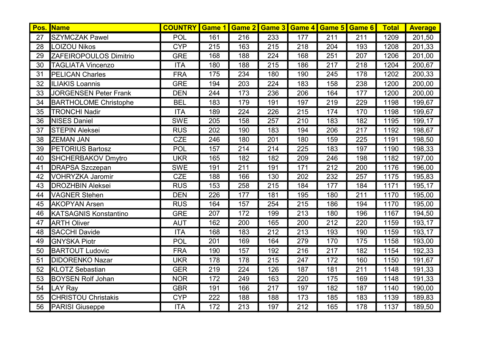| Pos. | <b>Name</b>                  | <b>COUNTRY</b> | Game 1 |     |     | <b>Game 2 Game 3 Game 4 Game 5 Game 6</b> |     |     | <b>Total</b> | <b>Average</b> |
|------|------------------------------|----------------|--------|-----|-----|-------------------------------------------|-----|-----|--------------|----------------|
| 27   | <b>SZYMCZAK Pawel</b>        | <b>POL</b>     | 161    | 216 | 233 | 177                                       | 211 | 211 | 1209         | 201,50         |
| 28   | <b>LOIZOU Nikos</b>          | <b>CYP</b>     | 215    | 163 | 215 | 218                                       | 204 | 193 | 1208         | 201,33         |
| 29   | ZAFEIROPOULOS Dimitrio       | <b>GRE</b>     | 168    | 188 | 224 | 168                                       | 251 | 207 | 1206         | 201,00         |
| 30   | <b>TAGLIATA Vincenzo</b>     | <b>ITA</b>     | 180    | 188 | 215 | 186                                       | 217 | 218 | 1204         | 200,67         |
| 31   | <b>PELICAN Charles</b>       | <b>FRA</b>     | 175    | 234 | 180 | 190                                       | 245 | 178 | 1202         | 200,33         |
| 32   | <b>ILIAKIS Loannis</b>       | <b>GRE</b>     | 194    | 203 | 224 | 183                                       | 158 | 238 | 1200         | 200,00         |
| 33   | <b>JORGENSEN Peter Frank</b> | <b>DEN</b>     | 244    | 173 | 236 | 206                                       | 164 | 177 | 1200         | 200,00         |
| 34   | <b>BARTHOLOME Christophe</b> | <b>BEL</b>     | 183    | 179 | 191 | 197                                       | 219 | 229 | 1198         | 199,67         |
| 35   | <b>TRONCHI Nadir</b>         | <b>ITA</b>     | 189    | 224 | 226 | $\overline{215}$                          | 174 | 170 | 1198         | 199,67         |
| 36   | <b>NISES Daniel</b>          | <b>SWE</b>     | 205    | 158 | 257 | 210                                       | 183 | 182 | 1195         | 199,17         |
| 37   | <b>STEPIN Aleksei</b>        | <b>RUS</b>     | 202    | 190 | 183 | 194                                       | 206 | 217 | 1192         | 198,67         |
| 38   | <b>ZEMAN JAN</b>             | <b>CZE</b>     | 246    | 180 | 201 | 180                                       | 159 | 225 | 1191         | 198,50         |
| 39   | <b>PETORIUS Bartosz</b>      | <b>POL</b>     | 157    | 214 | 214 | 225                                       | 183 | 197 | 1190         | 198,33         |
| 40   | SHCHERBAKOV Dmytro           | <b>UKR</b>     | 165    | 182 | 182 | 209                                       | 246 | 198 | 1182         | 197,00         |
| 41   | <b>DRAPSA Szczepan</b>       | <b>SWE</b>     | 191    | 211 | 191 | 171                                       | 212 | 200 | 1176         | 196,00         |
| 42   | <b>VOHRYZKA Jaromir</b>      | <b>CZE</b>     | 188    | 166 | 130 | 202                                       | 232 | 257 | 1175         | 195,83         |
| 43   | <b>DROZHBIN Aleksei</b>      | <b>RUS</b>     | 153    | 258 | 215 | 184                                       | 177 | 184 | 1171         | 195,17         |
| 44   | <b>VAGNER Stehen</b>         | <b>DEN</b>     | 226    | 177 | 181 | 195                                       | 180 | 211 | 1170         | 195,00         |
| 45   | <b>AKOPYAN Arsen</b>         | <b>RUS</b>     | 164    | 157 | 254 | 215                                       | 186 | 194 | 1170         | 195,00         |
| 46   | <b>KATSAGNIS Konstantino</b> | <b>GRE</b>     | 207    | 172 | 199 | 213                                       | 180 | 196 | 1167         | 194,50         |
| 47   | <b>ARTH Oliver</b>           | <b>AUT</b>     | 162    | 200 | 165 | 200                                       | 212 | 220 | 1159         | 193,17         |
| 48   | <b>SACCHI Davide</b>         | <b>ITA</b>     | 168    | 183 | 212 | 213                                       | 193 | 190 | 1159         | 193,17         |
| 49   | <b>GNYSKA Piotr</b>          | <b>POL</b>     | 201    | 169 | 164 | 279                                       | 170 | 175 | 1158         | 193,00         |
| 50   | <b>BARTOUT Ludovic</b>       | <b>FRA</b>     | 190    | 157 | 192 | 216                                       | 217 | 182 | 1154         | 192,33         |
| 51   | <b>DIDORENKO Nazar</b>       | <b>UKR</b>     | 178    | 178 | 215 | 247                                       | 172 | 160 | 1150         | 191,67         |
| 52   | <b>KLOTZ Sebastian</b>       | <b>GER</b>     | 219    | 224 | 126 | 187                                       | 181 | 211 | 1148         | 191,33         |
| 53   | <b>BOYSEN Rolf Johan</b>     | <b>NOR</b>     | 172    | 249 | 163 | 220                                       | 175 | 169 | 1148         | 191,33         |
| 54   | <b>LAY Ray</b>               | <b>GBR</b>     | 191    | 166 | 217 | 197                                       | 182 | 187 | 1140         | 190,00         |
| 55   | <b>CHRISTOU Christakis</b>   | <b>CYP</b>     | 222    | 188 | 188 | 173                                       | 185 | 183 | 1139         | 189,83         |
| 56   | <b>PARISI Giuseppe</b>       | <b>ITA</b>     | 172    | 213 | 197 | 212                                       | 165 | 178 | 1137         | 189,50         |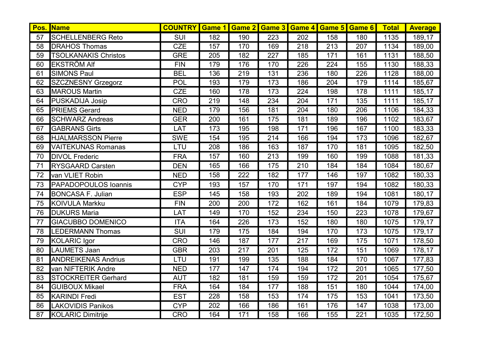| Pos. | <b>Name</b>                 | <b>COUNTRY Game 1</b> |     |     |                  | <b>Game 2 Game 3 Game 4 Game 5 Game 6</b> |     |     | <b>Total</b> | <b>Average</b> |
|------|-----------------------------|-----------------------|-----|-----|------------------|-------------------------------------------|-----|-----|--------------|----------------|
| 57   | <b>SCHELLENBERG Reto</b>    | <b>SUI</b>            | 182 | 190 | 223              | 202                                       | 158 | 180 | 1135         | 189,17         |
| 58   | <b>DRAHOS Thomas</b>        | <b>CZE</b>            | 157 | 170 | 169              | 218                                       | 213 | 207 | 1134         | 189,00         |
| 59   | <b>TSOLKANAKIS Christos</b> | <b>GRE</b>            | 205 | 182 | 227              | 185                                       | 171 | 161 | 1131         | 188,50         |
| 60   | <b>EKSTRÖM Alf</b>          | <b>FIN</b>            | 179 | 176 | 170              | 226                                       | 224 | 155 | 1130         | 188,33         |
| 61   | <b>SIMONS Paul</b>          | <b>BEL</b>            | 136 | 219 | 131              | 236                                       | 180 | 226 | 1128         | 188,00         |
| 62   | <b>SZCZNESNY Grzegorz</b>   | <b>POL</b>            | 193 | 179 | 173              | 186                                       | 204 | 179 | 1114         | 185,67         |
| 63   | <b>MAROUS Martin</b>        | <b>CZE</b>            | 160 | 178 | 173              | 224                                       | 198 | 178 | 1111         | 185,17         |
| 64   | PUSKADIJA Josip             | <b>CRO</b>            | 219 | 148 | 234              | 204                                       | 171 | 135 | 1111         | 185,17         |
| 65   | <b>PRIEMS Gerard</b>        | <b>NED</b>            | 179 | 156 | 181              | 204                                       | 180 | 206 | 1106         | 184,33         |
| 66   | <b>SCHWARZ Andreas</b>      | <b>GER</b>            | 200 | 161 | 175              | 181                                       | 189 | 196 | 1102         | 183,67         |
| 67   | <b>GABRANS Girts</b>        | LAT                   | 173 | 195 | 198              | 171                                       | 196 | 167 | 1100         | 183,33         |
| 68   | <b>HJALMARSSON Pierre</b>   | <b>SWE</b>            | 154 | 195 | $\overline{214}$ | 166                                       | 194 | 173 | 1096         | 182,67         |
| 69   | <b>VAITEKUNAS Romanas</b>   | LTU                   | 208 | 186 | 163              | 187                                       | 170 | 181 | 1095         | 182,50         |
| 70   | <b>DIVOL Frederic</b>       | <b>FRA</b>            | 157 | 160 | 213              | 199                                       | 160 | 199 | 1088         | 181,33         |
| 71   | <b>RYSGAARD Carsten</b>     | <b>DEN</b>            | 165 | 166 | 175              | 210                                       | 184 | 184 | 1084         | 180,67         |
| 72   | van VLIET Robin             | <b>NED</b>            | 158 | 222 | 182              | 177                                       | 146 | 197 | 1082         | 180,33         |
| 73   | <b>PAPADOPOULOS Ioannis</b> | <b>CYP</b>            | 193 | 157 | 170              | 171                                       | 197 | 194 | 1082         | 180,33         |
| 74   | <b>BONCASA F. Julian</b>    | <b>ESP</b>            | 145 | 158 | 193              | 202                                       | 189 | 194 | 1081         | 180,17         |
| 75   | <b>KOIVULA Markku</b>       | <b>FIN</b>            | 200 | 200 | 172              | 162                                       | 161 | 184 | 1079         | 179,83         |
| 76   | <b>DUKURS Maria</b>         | LAT                   | 149 | 170 | 152              | 234                                       | 150 | 223 | 1078         | 179,67         |
| 77   | <b>GIACUBBO DOMENICO</b>    | <b>ITA</b>            | 164 | 226 | 173              | 152                                       | 180 | 180 | 1075         | 179,17         |
| 78   | <b>LEDERMANN Thomas</b>     | <b>SUI</b>            | 179 | 175 | 184              | 194                                       | 170 | 173 | 1075         | 179,17         |
| 79   | <b>KOLARIC Igor</b>         | <b>CRO</b>            | 146 | 187 | 177              | 217                                       | 169 | 175 | 1071         | 178,50         |
| 80   | <b>LAUMETS Jaan</b>         | <b>GBR</b>            | 203 | 217 | 201              | 125                                       | 172 | 151 | 1069         | 178,17         |
| 81   | <b>ANDREIKENAS Andrius</b>  | LTU                   | 191 | 199 | 135              | 188                                       | 184 | 170 | 1067         | 177,83         |
| 82   | van NIFTERIK Andre          | <b>NED</b>            | 177 | 147 | 174              | 194                                       | 172 | 201 | 1065         | 177,50         |
| 83   | <b>STOCKREITER Gerhard</b>  | <b>AUT</b>            | 182 | 181 | 159              | 159                                       | 172 | 201 | 1054         | 175,67         |
| 84   | <b>GUIBOUX Mikael</b>       | <b>FRA</b>            | 164 | 184 | 177              | 188                                       | 151 | 180 | 1044         | 174,00         |
| 85   | <b>KARINDI Fredi</b>        | <b>EST</b>            | 228 | 158 | 153              | 174                                       | 175 | 153 | 1041         | 173,50         |
| 86   | <b>LAKOVIDIS Panikos</b>    | <b>CYP</b>            | 202 | 166 | 186              | 161                                       | 176 | 147 | 1038         | 173,00         |
| 87   | <b>KOLARIC Dimitrije</b>    | <b>CRO</b>            | 164 | 171 | 158              | 166                                       | 155 | 221 | 1035         | 172,50         |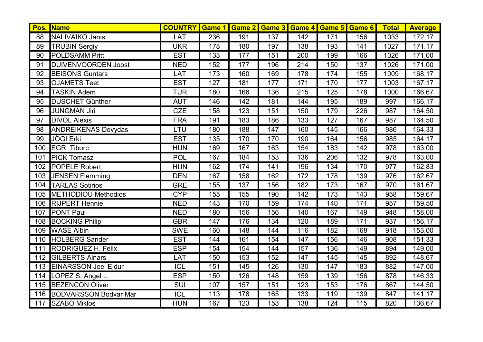| Pos. | <b>Name</b>                  | <b>COUNTRY</b>   | Game 1 |     |     | <b>Game 2 Game 3 Game 4 Game 5 Game 6</b> |                  |     | <b>Total</b> | <b>Average</b> |
|------|------------------------------|------------------|--------|-----|-----|-------------------------------------------|------------------|-----|--------------|----------------|
| 88   | <b>NALIVAIKO Janis</b>       | LAT              | 236    | 191 | 137 | 142                                       | 171              | 156 | 1033         | 172,17         |
| 89   | <b>TRUBIN Sergiy</b>         | <b>UKR</b>       | 178    | 180 | 197 | 138                                       | 193              | 141 | 1027         | 171,17         |
| 90   | <b>POLDSAMM Pritt</b>        | <b>EST</b>       | 133    | 177 | 151 | 200                                       | 199              | 166 | 1026         | 171,00         |
| 91   | <b>DUIVENVOORDEN Joost</b>   | <b>NED</b>       | 152    | 177 | 196 | 214                                       | 150              | 137 | 1026         | 171,00         |
| 92   | <b>BEISONS Guntars</b>       | LAT              | 173    | 160 | 169 | 178                                       | 174              | 155 | 1009         | 168,17         |
| 93   | <b>OJAMETS Teet</b>          | <b>EST</b>       | 127    | 181 | 177 | 171                                       | 170              | 177 | 1003         | 167,17         |
| 94   | <b>TASKIN Adem</b>           | <b>TUR</b>       | 180    | 166 | 136 | 215                                       | 125              | 178 | 1000         | 166,67         |
| 95   | <b>DUSCHET Günther</b>       | <b>AUT</b>       | 146    | 142 | 181 | 144                                       | 195              | 189 | 997          | 166,17         |
| 96   | <b>JUNGMAN Jiri</b>          | <b>CZE</b>       | 158    | 123 | 151 | 150                                       | 179              | 226 | 987          | 164,50         |
| 97   | <b>DIVOL Alexis</b>          | <b>FRA</b>       | 191    | 183 | 186 | 133                                       | 127              | 167 | 987          | 164,50         |
| 98   | <b>ANDREIKENAS Dovydas</b>   | LTU              | 180    | 188 | 147 | 160                                       | 145              | 166 | 986          | 164,33         |
| 99   | <b>JÖGI Erki</b>             | <b>EST</b>       | 135    | 170 | 170 | 190                                       | 164              | 156 | 985          | 164,17         |
| 100  | <b>EGRI Tiborc</b>           | <b>HUN</b>       | 169    | 167 | 163 | 154                                       | 183              | 142 | 978          | 163,00         |
| 101  | <b>PICK Tomasz</b>           | <b>POL</b>       | 167    | 184 | 153 | 136                                       | 206              | 132 | 978          | 163,00         |
| 102  | POPELE Robert                | <b>HUN</b>       | 162    | 174 | 141 | 196                                       | 134              | 170 | 977          | 162,83         |
| 103  | <b>JENSEN Flemming</b>       | <b>DEN</b>       | 167    | 158 | 162 | 172                                       | 178              | 139 | 976          | 162,67         |
| 104  | <b>TARLAS Sotirios</b>       | <b>GRE</b>       | 155    | 137 | 156 | 182                                       | 173              | 167 | 970          | 161,67         |
| 105  | METHODIOU Methodios          | <b>CYP</b>       | 155    | 155 | 190 | 142                                       | $\overline{173}$ | 143 | 958          | 159,67         |
| 106  | <b>RIJPERT Hennie</b>        | <b>NED</b>       | 143    | 170 | 159 | 174                                       | 140              | 171 | 957          | 159,50         |
| 107  | <b>PONT Paul</b>             | <b>NED</b>       | 180    | 156 | 156 | 140                                       | 167              | 149 | 948          | 158,00         |
| 108  | <b>BOCKING Philip</b>        | <b>GBR</b>       | 147    | 176 | 134 | 120                                       | 189              | 171 | 937          | 156,17         |
| 109  | <b>WASE Albin</b>            | <b>SWE</b>       | 160    | 148 | 144 | 116                                       | 182              | 168 | 918          | 153,00         |
| 110  | <b>HOLBERG Sander</b>        | <b>EST</b>       | 144    | 161 | 154 | 147                                       | 156              | 146 | 908          | 151,33         |
| 111  | <b>RODRIGUEZ H. Felix</b>    | <b>ESP</b>       | 154    | 154 | 144 | 157                                       | 136              | 149 | 894          | 149,00         |
| 112  | <b>GILBERTS Ainars</b>       | LAT              | 150    | 153 | 152 | 147                                       | 145              | 145 | 892          | 148,67         |
| 113  | <b>EINARSSON Joel Eidur</b>  | $\overline{ICL}$ | 151    | 145 | 126 | 130                                       | 147              | 183 | 882          | 147,00         |
| 114  | LOPEZ S. Angel L.            | <b>ESP</b>       | 150    | 126 | 148 | 159                                       | 139              | 156 | 878          | 146,33         |
| 115  | <b>BEZENCON Oliver</b>       | SUI              | 107    | 157 | 151 | 123                                       | 153              | 176 | 867          | 144,50         |
| 116  | <b>BODVARSSON Bodvar Mar</b> | <b>ICL</b>       | 113    | 178 | 165 | 133                                       | 119              | 139 | 847          | 141,17         |
| 117  | <b>SZABO Miklos</b>          | <b>HUN</b>       | 167    | 123 | 153 | 138                                       | 124              | 115 | 820          | 136,67         |